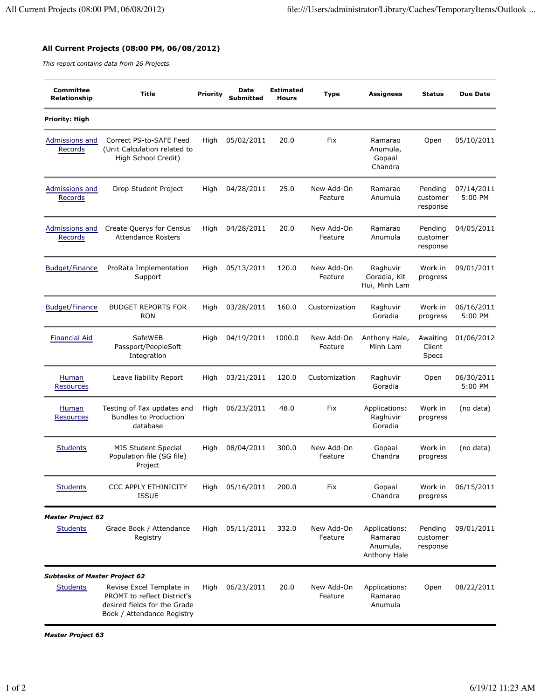## **All Current Projects (08:00 PM, 06/08/2012)**

*This report contains data from 26 Projects.*

| <b>Committee</b><br>Relationship     | <b>Title</b>                                                                                                          | <b>Priority</b> | Date<br>Submitted | <b>Estimated</b><br><b>Hours</b> | <b>Type</b>           | <b>Assignees</b>                                     | <b>Status</b>                      | <b>Due Date</b>       |
|--------------------------------------|-----------------------------------------------------------------------------------------------------------------------|-----------------|-------------------|----------------------------------|-----------------------|------------------------------------------------------|------------------------------------|-----------------------|
| Priority: High                       |                                                                                                                       |                 |                   |                                  |                       |                                                      |                                    |                       |
| Admissions and<br>Records            | Correct PS-to-SAFE Feed<br>(Unit Calculation related to<br>High School Credit)                                        | High            | 05/02/2011        | 20.0                             | Fix                   | Ramarao<br>Anumula,<br>Gopaal<br>Chandra             | Open                               | 05/10/2011            |
| Admissions and<br>Records            | Drop Student Project                                                                                                  | High            | 04/28/2011        | 25.0                             | New Add-On<br>Feature | Ramarao<br>Anumula                                   | Pending<br>customer<br>response    | 07/14/2011<br>5:00 PM |
| Admissions and<br>Records            | Create Querys for Census<br><b>Attendance Rosters</b>                                                                 | High            | 04/28/2011        | 20.0                             | New Add-On<br>Feature | Ramarao<br>Anumula                                   | Pending<br>customer<br>response    | 04/05/2011            |
| <b>Budget/Finance</b>                | ProRata Implementation<br>Support                                                                                     | High            | 05/13/2011        | 120.0                            | New Add-On<br>Feature | Raghuvir<br>Goradia, Kit<br>Hui, Minh Lam            | Work in<br>progress                | 09/01/2011            |
| <b>Budget/Finance</b>                | <b>BUDGET REPORTS FOR</b><br><b>RON</b>                                                                               | High            | 03/28/2011        | 160.0                            | Customization         | Raghuvir<br>Goradia                                  | Work in<br>progress                | 06/16/2011<br>5:00 PM |
| <b>Financial Aid</b>                 | SafeWEB<br>Passport/PeopleSoft<br>Integration                                                                         | High            | 04/19/2011        | 1000.0                           | New Add-On<br>Feature | Anthony Hale,<br>Minh Lam                            | Awaiting<br>Client<br><b>Specs</b> | 01/06/2012            |
| Human<br>Resources                   | Leave liability Report                                                                                                | High            | 03/21/2011        | 120.0                            | Customization         | Raghuvir<br>Goradia                                  | Open                               | 06/30/2011<br>5:00 PM |
| Human<br><b>Resources</b>            | Testing of Tax updates and<br><b>Bundles to Production</b><br>database                                                | High            | 06/23/2011        | 48.0                             | Fix                   | Applications:<br>Raghuvir<br>Goradia                 | Work in<br>progress                | (no data)             |
| <b>Students</b>                      | <b>MIS Student Special</b><br>Population file (SG file)<br>Project                                                    | High            | 08/04/2011        | 300.0                            | New Add-On<br>Feature | Gopaal<br>Chandra                                    | Work in<br>progress                | (no data)             |
| <b>Students</b>                      | <b>CCC APPLY ETHINICITY</b><br><b>ISSUE</b>                                                                           | High            | 05/16/2011        | 200.0                            | Fix                   | Gopaal<br>Chandra                                    | Work in<br>progress                | 06/15/2011            |
| <b>Master Project 62</b>             |                                                                                                                       |                 |                   |                                  |                       |                                                      |                                    |                       |
| <b>Students</b>                      | Grade Book / Attendance<br>Registry                                                                                   | High            | 05/11/2011        | 332.0                            | New Add-On<br>Feature | Applications:<br>Ramarao<br>Anumula,<br>Anthony Hale | Pending<br>customer<br>response    | 09/01/2011            |
| <b>Subtasks of Master Project 62</b> |                                                                                                                       |                 |                   |                                  |                       |                                                      |                                    |                       |
| <b>Students</b>                      | Revise Excel Template in<br>PROMT to reflect District's<br>desired fields for the Grade<br>Book / Attendance Registry | High            | 06/23/2011        | 20.0                             | New Add-On<br>Feature | Applications:<br>Ramarao<br>Anumula                  | Open                               | 08/22/2011            |

*Master Project 63*